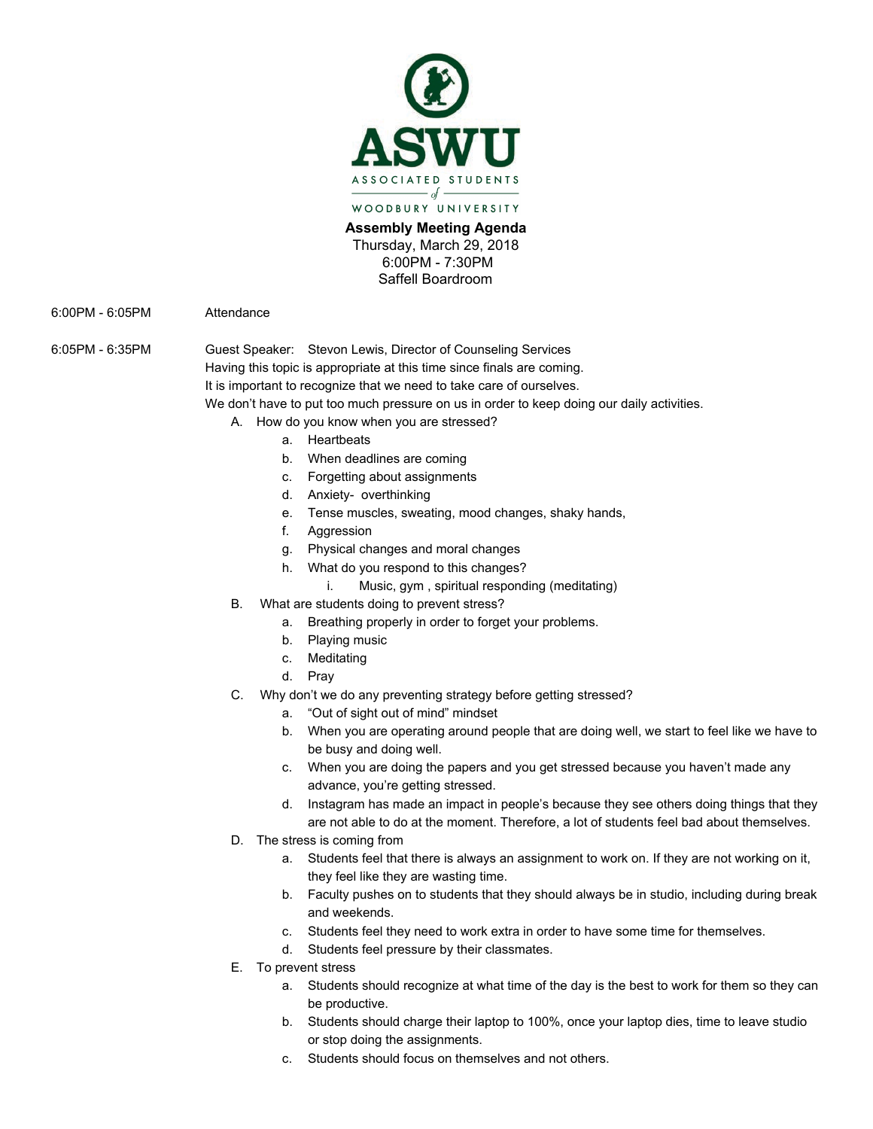

**Assembly Meeting Agenda**  Thursday, March 29, 2018 6:00PM - 7:30PM Saffell Boardroom

6:00PM - 6:05PM Attendance

6:05PM - 6:35PM Guest Speaker: Stevon Lewis, Director of Counseling Services Having this topic is appropriate at this time since finals are coming. It is important to recognize that we need to take care of ourselves.

We don't have to put too much pressure on us in order to keep doing our daily activities.

- A. How do you know when you are stressed?
	- a. Heartbeats
	- b. When deadlines are coming
	- c. Forgetting about assignments
	- d. Anxiety- overthinking
	- e. Tense muscles, sweating, mood changes, shaky hands,
	- f. Aggression
	- g. Physical changes and moral changes
	- h. What do you respond to this changes?
		- i. Music, gym , spiritual responding (meditating)
- B. What are students doing to prevent stress?
	- a. Breathing properly in order to forget your problems.
	- b. Playing music
	- c. Meditating
	- d. Pray
- C. Why don't we do any preventing strategy before getting stressed?
	- a. "Out of sight out of mind" mindset
	- b. When you are operating around people that are doing well, we start to feel like we have to be busy and doing well.
	- c. When you are doing the papers and you get stressed because you haven't made any advance, you're getting stressed.
	- d. Instagram has made an impact in people's because they see others doing things that they are not able to do at the moment. Therefore, a lot of students feel bad about themselves.
- D. The stress is coming from
	- a. Students feel that there is always an assignment to work on. If they are not working on it, they feel like they are wasting time.
	- b. Faculty pushes on to students that they should always be in studio, including during break and weekends.
	- c. Students feel they need to work extra in order to have some time for themselves.
	- d. Students feel pressure by their classmates.
- E. To prevent stress
	- a. Students should recognize at what time of the day is the best to work for them so they can be productive.
	- b. Students should charge their laptop to 100%, once your laptop dies, time to leave studio or stop doing the assignments.
	- c. Students should focus on themselves and not others.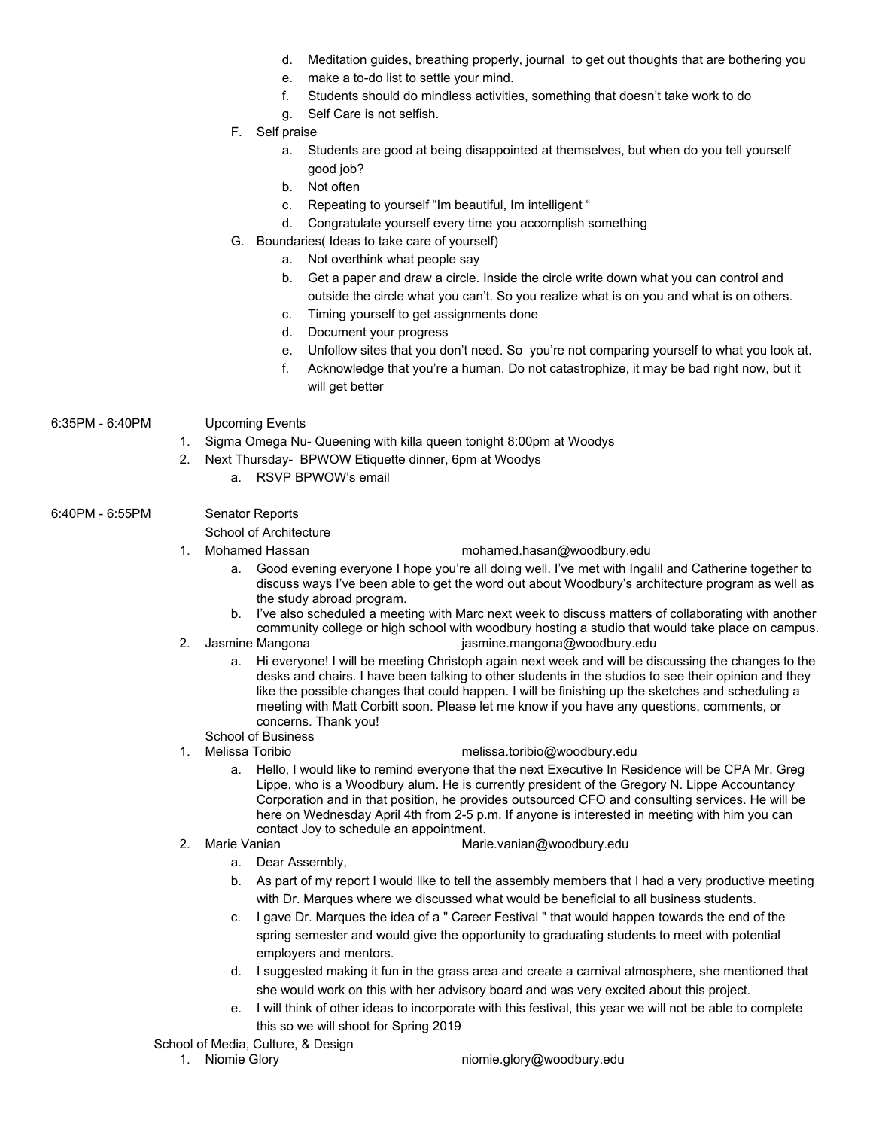- d. Meditation guides, breathing properly, journal to get out thoughts that are bothering you
- e. make a to-do list to settle your mind.
- f. Students should do mindless activities, something that doesn't take work to do
- g. Self Care is not selfish.
- F. Self praise
	- a. Students are good at being disappointed at themselves, but when do you tell yourself good job?
	- b. Not often
	- c. Repeating to yourself "Im beautiful, Im intelligent "
	- d. Congratulate yourself every time you accomplish something
- G. Boundaries( Ideas to take care of yourself)
	- a. Not overthink what people say
	- b. Get a paper and draw a circle. Inside the circle write down what you can control and outside the circle what you can't. So you realize what is on you and what is on others.
	- c. Timing yourself to get assignments done
	- d. Document your progress
	- e. Unfollow sites that you don't need. So you're not comparing yourself to what you look at.
	- f. Acknowledge that you're a human. Do not catastrophize, it may be bad right now, but it will get better
- 6:35PM 6:40PM Upcoming Events
	- 1. Sigma Omega Nu- Queening with killa queen tonight 8:00pm at Woodys
	- 2. Next Thursday- BPWOW Etiquette dinner, 6pm at Woodys
		- a. RSVP BPWOW's email
- 6:40PM 6:55PM Senator Reports
	- School of Architecture
	-
	- 1. Mohamed Hassan m[ohamed.hasan@woodbury.edu](mailto:Mohamed.Hasan@woodbury.edu) 
		- a. Good evening everyone I hope you're all doing well. I've met with Ingalil and Catherine together to discuss ways I've been able to get the word out about Woodbury's architecture program as well as the study abroad program.
		- b. I've also scheduled a meeting with Marc next week to discuss matters of collaborating with another community college or high school with woodbury hosting a studio that would take place on campus.
	- 2. Jasmine Mangona [jasmine.mangona@woodbury.edu](mailto:jasmine.mangona@woodbury.edu)
		- a. Hi everyone! I will be meeting Christoph again next week and will be discussing the changes to the desks and chairs. I have been talking to other students in the studios to see their opinion and they like the possible changes that could happen. I will be finishing up the sketches and scheduling a meeting with Matt Corbitt soon. Please let me know if you have any questions, comments, or concerns. Thank you!
	- School of Business<br>1. Melissa Toribio
- [melissa.toribio@w](mailto:mellytoribio@gmail.com)oodbury.edu
- a. Hello, I would like to remind everyone that the next Executive In Residence will be CPA Mr. Greg Lippe, who is a Woodbury alum. He is currently president of the Gregory N. Lippe Accountancy Corporation and in that position, he provides outsourced CFO and consulting services. He will be here on Wednesday April 4th from 2-5 p.m. If anyone is interested in meeting with him you can contact Joy to schedule an appointment.
- 
- 2. Marie Vanian [Marie.vanian@woodbury.edu](mailto:Marie.vanian@woodbury.edu)
	- a. Dear Assembly,
	- b. As part of my report I would like to tell the assembly members that I had a very productive meeting with Dr. Marques where we discussed what would be beneficial to all business students.
	- c. I gave Dr. Marques the idea of a " Career Festival " that would happen towards the end of the spring semester and would give the opportunity to graduating students to meet with potential employers and mentors.
	- d. I suggested making it fun in the grass area and create a carnival atmosphere, she mentioned that she would work on this with her advisory board and was very excited about this project.
	- e. I will think of other ideas to incorporate with this festival, this year we will not be able to complete this so we will shoot for Spring 2019

## School of Media, Culture, & Design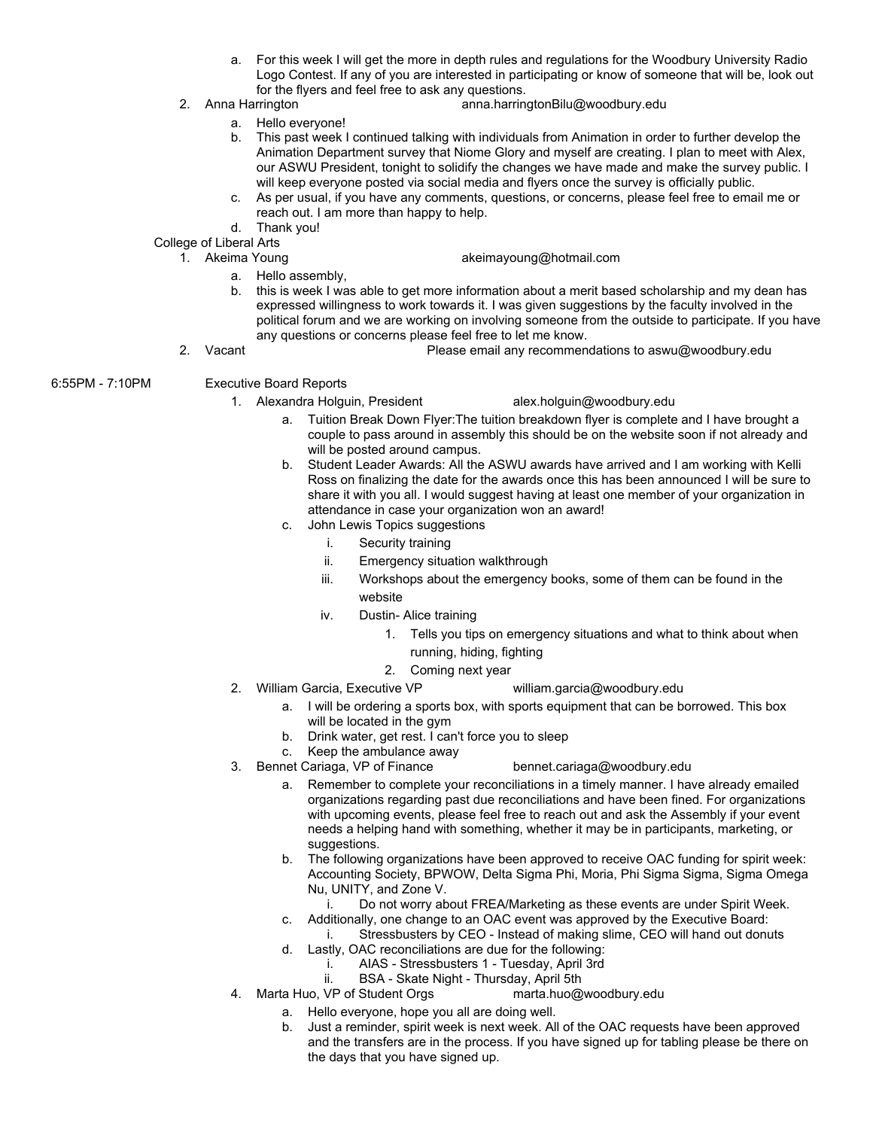- a. For this week I will get the more in depth rules and regulations for the Woodbury University Radio Logo Contest. If any of you are interested in participating or know of someone that will be, look out for the flyers and feel free to ask any questions.
- 2. Anna Harrington anna.harringtonBilu@woodbury.edu
	- a. Hello everyone!
	- b. This past week I continued talking with individuals from Animation in order to further develop the Animation Department survey that Niome Glory and myself are creating. I plan to meet with Alex, our ASWU President, tonight to solidify the changes we have made and make the survey public. I will keep everyone posted via social media and flyers once the survey is officially public.
	- c. As per usual, if you have any comments, questions, or concerns, please feel free to email me or reach out. I am more than happy to help.
	- d. Thank you!

College of Liberal Arts<br>1. Akeima Young

- [akeimayoung@hotmail.com](mailto:akeimayoung@hotmail.com)
- a. Hello assembly,
- b. this is week I was able to get more information about a merit based scholarship and my dean has expressed willingness to work towards it. I was given suggestions by the faculty involved in the political forum and we are working on involving someone from the outside to participate. If you have any questions or concerns please feel free to let me know.
- 2. Vacant Please email any recommendations to aswu@woodbury.edu

## 6:55PM - 7:10PM Executive Board Reports

1. Alexandra Holguin, President alex.holguin@woodbury.edu

- a. Tuition Break Down Flyer:The tuition breakdown flyer is complete and I have brought a couple to pass around in assembly this should be on the website soon if not already and will be posted around campus.
- b. Student Leader Awards: All the ASWU awards have arrived and I am working with Kelli Ross on finalizing the date for the awards once this has been announced I will be sure to share it with you all. I would suggest having at least one member of your organization in attendance in case your organization won an award!
- c. John Lewis Topics suggestions
	- i. Security training
	- ii. Emergency situation walkthrough
	- iii. Workshops about the emergency books, some of them can be found in the website
	- iv. Dustin- Alice training
		- 1. Tells you tips on emergency situations and what to think about when running, hiding, fighting
		- 2. Coming next year
- 2. William Garcia, Executive VP william.garcia@woodbury.edu
	- a. I will be ordering a sports box, with sports equipment that can be borrowed. This box will be located in the gym
	- b. Drink water, get rest. I can't force you to sleep
	- c. Keep the ambulance away
- 3. Bennet Cariaga, VP of Finance [bennet.cariaga@woodbury.edu](mailto:bennet.cariaga@woodbury.edu)
	- a. Remember to complete your reconciliations in a timely manner. I have already emailed organizations regarding past due reconciliations and have been fined. For organizations with upcoming events, please feel free to reach out and ask the Assembly if your event needs a helping hand with something, whether it may be in participants, marketing, or suggestions.
	- b. The following organizations have been approved to receive OAC funding for spirit week: Accounting Society, BPWOW, Delta Sigma Phi, Moria, Phi Sigma Sigma, Sigma Omega Nu, UNITY, and Zone V.
		- i. Do not worry about FREA/Marketing as these events are under Spirit Week.
	- c. Additionally, one change to an OAC event was approved by the Executive Board: i. Stressbusters by CEO - Instead of making slime, CEO will hand out donuts
	- d. Lastly, OAC reconciliations are due for the following:
		- i. AIAS Stressbusters 1 Tuesday, April 3rd<br>ii. BSA Skate Night Thursday, April 5th
		- BSA Skate Night Thursday, April 5th<br>Student Orgs marta.huo@woodbury.edu
- 4. Marta Huo, VP of Student Orgs.
	- a. Hello everyone, hope you all are doing well.
	- b. Just a reminder, spirit week is next week. All of the OAC requests have been approved and the transfers are in the process. If you have signed up for tabling please be there on the days that you have signed up.